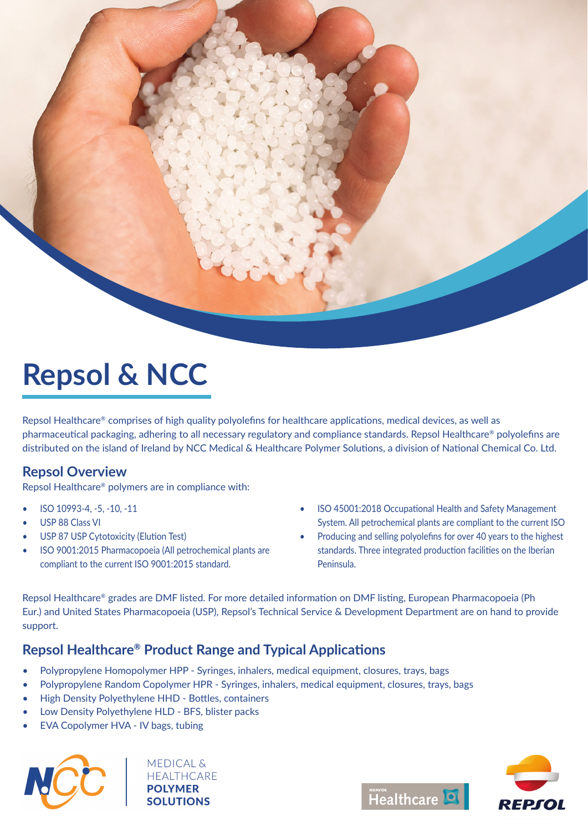

# **Repsol & NCC**

Repsol Healthcare® comprises of high quality polyolefins for healthcare applications, medical devices, as well as pharmaceutical packaging, adhering to all necessary regulatory and compliance standards. Repsol Healthcare® polyolefins are distributed on the island of Ireland by NCC Medical & Healthcare Polymer Solutions, a division of National Chemical Co. Ltd.

#### **Repsol Overview**

Repsol Healthcare® polymers are in compliance with:

- ISO 10993-4, -5, -10, -11
- USP 88 Class VI
- **USP 87 USP Cytotoxicity (Elution Test)**
- ISO 9001:2015 Pharmacopoeia (All petrochemical plants are compliant to the current ISO 9001:2015 standard.
- ISO 45001:2018 Occupational Health and Safety Management System. All petrochemical plants are compliant to the current ISO
- Producing and selling polyolefins for over 40 years to the highest standards. Three integrated production facilities on the Iberian Peninsula.

Repsol Healthcare® grades are DMF listed. For more detailed information on DMF listing, European Pharmacopoeia (Ph Eur.) and United States Pharmacopoeia (USP), Repsol's Technical Service & Development Department are on hand to provide support.

### **Repsol Healthcare®** Product Range and Typical Applications

- Polypropylene Homopolymer HPP Syringes, inhalers, medical equipment, closures, trays, bags
- Polypropylene Random Copolymer HPR Syringes, inhalers, medical equipment, closures, trays, bags
- High Density Polyethylene HHD Bottles, containers
- Low Density Polyethylene HLD BFS, blister packs
- EVA Copolymer HVA IV bags, tubing



**MEDICAL & HEALTHCARE POLYMER**